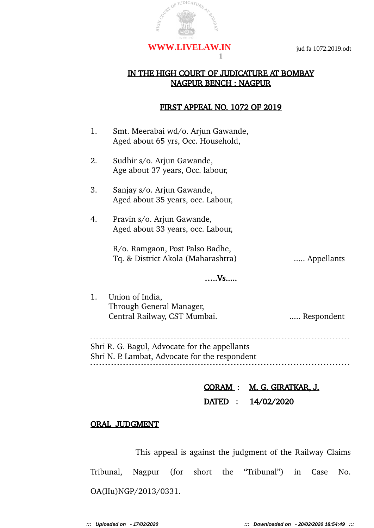

### IN THE HIGH COURT OF JUDICATURE AT BOMBAY NAGPUR BENCH : NAGPUR

1

#### FIRST APPEAL NO. 1072 OF 2019

| 1. | Smt. Meerabai wd/o. Arjun Gawande,<br>Aged about 65 yrs, Occ. Household,                        |            |
|----|-------------------------------------------------------------------------------------------------|------------|
| 2. | Sudhir s/o. Arjun Gawande,<br>Age about 37 years, Occ. labour,                                  |            |
| 3. | Sanjay s/o. Arjun Gawande,<br>Aged about 35 years, occ. Labour,                                 |            |
| 4. | Pravin s/o. Arjun Gawande,<br>Aged about 33 years, occ. Labour,                                 |            |
|    | R/o. Ramgaon, Post Palso Badhe,<br>Tq. & District Akola (Maharashtra)                           | Appellants |
|    | . Vs.                                                                                           |            |
| 1. | Union of India,<br>Through General Manager,<br>Central Railway, CST Mumbai.                     | Respondent |
|    | Shri R. G. Bagul, Advocate for the appellants<br>Shri N. P. Lambat, Advocate for the respondent |            |
|    |                                                                                                 |            |

CORAM : M. G. GIRATKAR, J. DATED : 14/02/2020

#### ORAL JUDGMENT

This appeal is against the judgment of the Railway Claims Tribunal, Nagpur (for short the "Tribunal") in Case No. OA(IIu)NGP/2013/0331.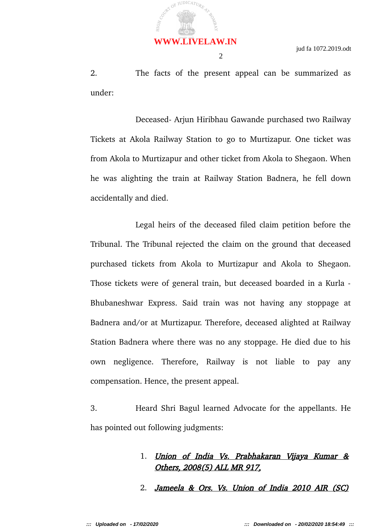

2. The facts of the present appeal can be summarized as under:

2

Deceased- Arjun Hiribhau Gawande purchased two Railway Tickets at Akola Railway Station to go to Murtizapur. One ticket was from Akola to Murtizapur and other ticket from Akola to Shegaon. When he was alighting the train at Railway Station Badnera, he fell down accidentally and died.

Legal heirs of the deceased filed claim petition before the Tribunal. The Tribunal rejected the claim on the ground that deceased purchased tickets from Akola to Murtizapur and Akola to Shegaon. Those tickets were of general train, but deceased boarded in a Kurla - Bhubaneshwar Express. Said train was not having any stoppage at Badnera and/or at Murtizapur. Therefore, deceased alighted at Railway Station Badnera where there was no any stoppage. He died due to his own negligence. Therefore, Railway is not liable to pay any compensation. Hence, the present appeal.

3. Heard Shri Bagul learned Advocate for the appellants. He has pointed out following judgments:

## 1. Union of India Vs. Prabhakaran Vijaya Kumar & Others, 2008(5) ALL MR 917,

2. Jameela & Ors. Vs. Union of India 2010 AIR (SC)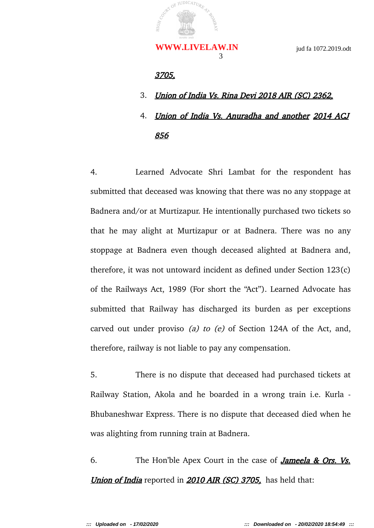#### 3705,

- 3. Union of India Vs. Rina Devi 2018 AIR (SC) 2362,
- 4. Union of India Vs. Anuradha and another 2014 ACJ 856

4. Learned Advocate Shri Lambat for the respondent has submitted that deceased was knowing that there was no any stoppage at Badnera and/or at Murtizapur. He intentionally purchased two tickets so that he may alight at Murtizapur or at Badnera. There was no any stoppage at Badnera even though deceased alighted at Badnera and, therefore, it was not untoward incident as defined under Section 123(c) of the Railways Act, 1989 (For short the "Act"). Learned Advocate has submitted that Railway has discharged its burden as per exceptions carved out under proviso (a) to (e) of Section 124A of the Act, and, therefore, railway is not liable to pay any compensation.

5. There is no dispute that deceased had purchased tickets at Railway Station, Akola and he boarded in a wrong train i.e. Kurla - Bhubaneshwar Express. There is no dispute that deceased died when he was alighting from running train at Badnera.

6. The Hon'ble Apex Court in the case of **Jameela & Ors. Vs. Union of India** reported in **2010 AIR (SC) 3705**, has held that: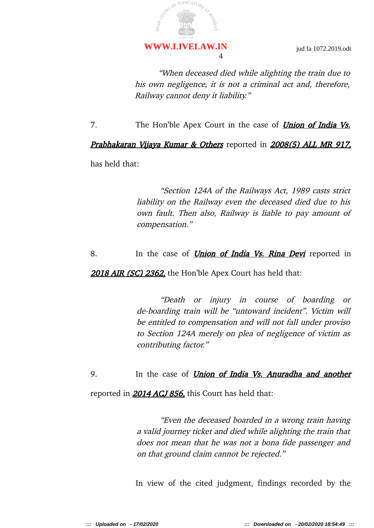## 4 **WWW.LIVELAW.IN**

"When deceased died while alighting the train due to his own negligence, it is not a criminal act and, therefore, Railway cannot deny it liability."

7. The Hon'ble Apex Court in the case of **Union of India Vs.** 

## Prabhakaran Vijaya Kumar & Others reported in 2008(5) ALL MR 917.

has held that:

"Section 124A of the Railways Act, 1989 casts strict liability on the Railway even the deceased died due to his own fault. Then also, Railway is liable to pay amount of compensation."

8. In the case of *Union of India Vs. Rina Devi* reported in

2018 AIR (SC) 2362, the Hon'ble Apex Court has held that:

"Death or injury in course of boarding or de-boarding train will be "untoward incident". Victim will be entitled to compensation and will not fall under proviso to Section 124A merely on plea of negligence of victim as contributing factor."

9. In the case of *Union of India Vs. Anuradha and another* 

reported in **2014 ACJ 856**, this Court has held that:

"Even the deceased boarded in a wrong train having a valid journey ticket and died while alighting the train that does not mean that he was not a bona fide passenger and on that ground claim cannot be rejected."

In view of the cited judgment, findings recorded by the